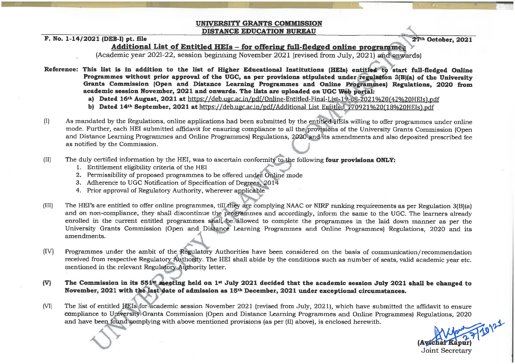## **UNIVERSITY GRANTS COMMISSION DISTANCE EDUCATION BUREAU**

## F. No. 1-14/2021 (DEB-I) pt. file

27th October, 2021

## Additional List of Entitled HEIs - for offering full-fledged online programmes

(Academic year 2021-22, session beginning November 2021 (revised from July, 2021) and enwards)

Reference: This list is in addition to the list of Higher Educational Institutions (HEIs) entitled to start full-fledged Online Programmes without prior approval of the UGC, as per provisions stipulated under regulation 3(B)(a) of the University Grants Commission (Open and Distance Learning Programmes and Online Programmes) Regulations. 2020 from academic session November, 2021 and onwards. The lists are uploaded on UGC Web portal:

- a) Dated 16<sup>th</sup> August, 2021 at https://deb.ugc.ac.in/pdf/Online-Entitled-Final-List-19-08-2021%20(42%20HEIs).pdf
- b) Dated 14th September, 2021 at https://deb.ugc.ac.in/pdf/Additional List Engitled 170921%20018%20HEIs).ndf
- As mandated by the Regulations, online applications had been submitted by the entitled HEIs willing to offer programmes under online  $(I)$ mode. Further, each HEI submitted affidavit for ensuring compliance to all the provisions of the University Grants Commission (Open and Distance Learning Programmes and Online Programmes) Regulations, 2020 and its amendments and also deposited prescribed fee as notified by the Commission.
- The duly certified information by the HEI, was to ascertain conformity to the following four provisions ONLY:  $(II)$ 
	- 1. Entitlement eligibility criteria of the HEI
	- 2. Permissibility of proposed programmes to be offered under Online mode
	- 3. Adherence to UGC Notification of Specification of Degrees, 2014
	- 4. Prior approval of Regulatory Authority, wherever applicable
- The HEI's are entitled to offer online programmes, till they are complying NAAC or NIRF ranking requirements as per Regulation 3(B)(a)  $(III)$ and on non-compliance, they shall discontinue the programmes and accordingly, inform the same to the UGC. The learners already enrolled in the current entitled programmes shall be allowed to complete the programmes in the laid down manner as per the University Grants Commission (Open and Distance Learning Programmes and Online Programmes) Regulations, 2020 and its amendments.
- $(IV)$ Programmes under the ambit of the Regulatory Authorities have been considered on the basis of communication/recommendation received from respective Regulatory Authority. The HEI shall abide by the conditions such as number of seats, valid academic year etc. mentioned in the relevant Regulatory Authority letter.
- $(V)$ The Commission in its 551<sup>th</sup> meeting held on 1<sup>st</sup> July 2021 decided that the academic session July 2021 shall be changed to November, 2021 with the last date of admission as 15<sup>th</sup> December, 2021 under exceptional circumstances.
- The list of entitled HEIs for academic session November 2021 (revised from July, 2021), which have submitted the affidavit to ensure  $(VI)$ compliance to University Grants Commission (Open and Distance Learning Programmes and Online Programmes) Regulations, 2020 and have been found complying with above mentioned provisions (as per (II) above), is enclosed herewith.

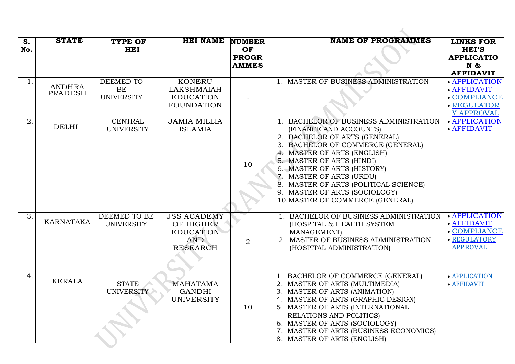| S.  | <b>STATE</b>                    | <b>TYPE OF</b>    | <b>HEI NAME</b>     | <b>NUMBER</b>  | <b>NAME OF PROGRAMMES</b>              | <b>LINKS FOR</b>  |
|-----|---------------------------------|-------------------|---------------------|----------------|----------------------------------------|-------------------|
| No. |                                 | <b>HEI</b>        |                     | OF             |                                        | <b>HEI'S</b>      |
|     |                                 |                   |                     | <b>PROGR</b>   |                                        | <b>APPLICATIO</b> |
|     |                                 |                   |                     | <b>AMMES</b>   |                                        | $N \&$            |
|     |                                 |                   |                     |                |                                        | <b>AFFIDAVIT</b>  |
| 1.  |                                 | DEEMED TO         | <b>KONERU</b>       |                | 1. MASTER OF BUSINESS ADMINISTRATION   | • APPLICATION     |
|     | <b>ANDHRA</b><br><b>PRADESH</b> | BE                | <b>LAKSHMAIAH</b>   |                |                                        | · AFFIDAVIT       |
|     |                                 | <b>UNIVERSITY</b> | <b>EDUCATION</b>    | $\mathbf{1}$   |                                        | • COMPLIANCE      |
|     |                                 |                   | <b>FOUNDATION</b>   |                |                                        | · REGULATOR       |
|     |                                 |                   |                     |                |                                        | Y APPROVAL        |
| 2.  |                                 | <b>CENTRAL</b>    | <b>JAMIA MILLIA</b> |                | 1. BACHELOR OF BUSINESS ADMINISTRATION | · APPLICATION     |
|     | <b>DELHI</b>                    | <b>UNIVERSITY</b> | <b>ISLAMIA</b>      |                | (FINANCE AND ACCOUNTS)                 | · AFFIDAVIT       |
|     |                                 |                   |                     |                | 2. BACHELOR OF ARTS (GENERAL)          |                   |
|     |                                 |                   |                     |                | 3. BACHELOR OF COMMERCE (GENERAL)      |                   |
|     |                                 |                   |                     |                | 4. MASTER OF ARTS (ENGLISH)            |                   |
|     |                                 |                   |                     | 10             | 5. MASTER OF ARTS (HINDI)              |                   |
|     |                                 |                   |                     |                | 6. MASTER OF ARTS (HISTORY)            |                   |
|     |                                 |                   |                     |                | 7. MASTER OF ARTS (URDU)               |                   |
|     |                                 |                   |                     |                | 8. MASTER OF ARTS (POLITICAL SCIENCE)  |                   |
|     |                                 |                   |                     |                | 9. MASTER OF ARTS (SOCIOLOGY)          |                   |
|     |                                 |                   |                     |                | 10. MASTER OF COMMERCE (GENERAL)       |                   |
|     |                                 |                   |                     |                |                                        |                   |
| 3.  |                                 | DEEMED TO BE      | <b>JSS ACADEMY</b>  |                | 1. BACHELOR OF BUSINESS ADMINISTRATION | • APPLICATION     |
|     | <b>KARNATAKA</b>                | <b>UNIVERSITY</b> | OF HIGHER           |                | (HOSPITAL & HEALTH SYSTEM              | · AFFIDAVIT       |
|     |                                 |                   | <b>EDUCATION</b>    |                | <b>MANAGEMENT</b> )                    | • COMPLIANCE      |
|     |                                 |                   | <b>AND</b>          | $\overline{2}$ | 2. MASTER OF BUSINESS ADMINISTRATION   | · REGULATORY      |
|     |                                 |                   | <b>RESEARCH</b>     |                | (HOSPITAL ADMINISTRATION)              | <b>APPROVAL</b>   |
|     |                                 |                   |                     |                |                                        |                   |
|     |                                 |                   |                     |                |                                        |                   |
| 4.  |                                 |                   |                     |                | 1. BACHELOR OF COMMERCE (GENERAL)      | · APPLICATION     |
|     | <b>KERALA</b>                   | <b>STATE</b>      | <b>MAHATAMA</b>     |                | 2. MASTER OF ARTS (MULTIMEDIA)         | · AFFIDAVIT       |
|     |                                 | <b>UNIVERSITY</b> | <b>GANDHI</b>       |                | 3. MASTER OF ARTS (ANIMATION)          |                   |
|     |                                 |                   | <b>UNIVERSITY</b>   |                | 4. MASTER OF ARTS (GRAPHIC DESIGN)     |                   |
|     |                                 |                   |                     | 10             | 5. MASTER OF ARTS (INTERNATIONAL       |                   |
|     |                                 |                   |                     |                | RELATIONS AND POLITICS)                |                   |
|     |                                 |                   |                     |                | 6. MASTER OF ARTS (SOCIOLOGY)          |                   |
|     |                                 |                   |                     |                | 7. MASTER OF ARTS (BUSINESS ECONOMICS) |                   |
|     |                                 |                   |                     |                | 8. MASTER OF ARTS (ENGLISH)            |                   |

U